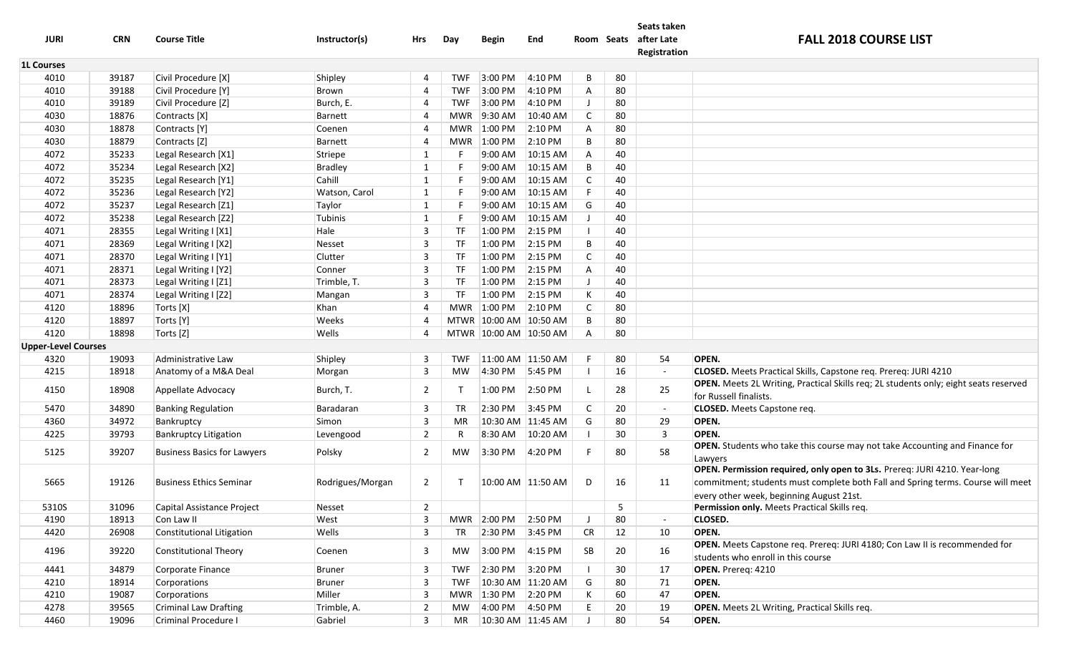| <b>JURI</b>                | <b>CRN</b>     | <b>Course Title</b>                      | Instructor(s)    | Hrs                 | Day          | <b>Begin</b>                             | End               | Room Seats |         | Seats taken<br>after Late<br>Registration | <b>FALL 2018 COURSE LIST</b>                                                                                   |
|----------------------------|----------------|------------------------------------------|------------------|---------------------|--------------|------------------------------------------|-------------------|------------|---------|-------------------------------------------|----------------------------------------------------------------------------------------------------------------|
| <b>1L Courses</b>          |                |                                          |                  |                     |              |                                          |                   |            |         |                                           |                                                                                                                |
| 4010                       | 39187          | Civil Procedure [X]                      | Shipley          |                     | <b>TWF</b>   | 3:00 PM                                  | 4:10 PM           | B          | 80      |                                           |                                                                                                                |
| 4010                       | 39188          | Civil Procedure [Y]                      | Brown            | 4                   | <b>TWF</b>   | 3:00 PM                                  | 4:10 PM           | Α          | 80      |                                           |                                                                                                                |
| 4010                       | 39189          | Civil Procedure [Z]                      | Burch, E.        | 4                   | <b>TWF</b>   | 3:00 PM                                  | 4:10 PM           |            | 80      |                                           |                                                                                                                |
| 4030                       | 18876          | Contracts [X]                            | Barnett          |                     | MWR          | 9:30 AM                                  | 10:40 AM          | C          | 80      |                                           |                                                                                                                |
| 4030                       | 18878          | Contracts [Y]                            | Coenen           |                     | MWR          | 1:00 PM                                  | 2:10 PM           | Α          | 80      |                                           |                                                                                                                |
| 4030                       | 18879          | Contracts [Z]                            | Barnett          | 4                   | MWR          | 1:00 PM                                  | 2:10 PM           | B          | 80      |                                           |                                                                                                                |
| 4072                       | 35233          | Legal Research [X1]                      | Striepe          | 1                   |              | 9:00 AM                                  | 10:15 AM          | A          | 40      |                                           |                                                                                                                |
| 4072                       | 35234          | Legal Research [X2]                      | <b>Bradley</b>   | 1                   | F            | 9:00 AM                                  | 10:15 AM          | B          | 40      |                                           |                                                                                                                |
| 4072                       | 35235          | Legal Research [Y1]                      | Cahill           | 1                   | F            | 9:00 AM                                  | 10:15 AM          | C          | 40      |                                           |                                                                                                                |
| 4072                       | 35236          | Legal Research [Y2]                      | Watson, Carol    | $\mathbf{1}$        | F            | 9:00 AM                                  | 10:15 AM          | F          | 40      |                                           |                                                                                                                |
| 4072                       | 35237          | Legal Research [Z1]                      | Taylor           | 1                   | F            | 9:00 AM                                  | 10:15 AM          | G          | 40      |                                           |                                                                                                                |
| 4072                       | 35238          | Legal Research [Z2]                      | Tubinis          | 1                   | F.           | 9:00 AM                                  | 10:15 AM          |            | 40      |                                           |                                                                                                                |
| 4071                       | 28355          | Legal Writing I [X1]                     | Hale             | 3                   | TF           | 1:00 PM                                  | $2:15 \text{ PM}$ |            | 40      |                                           |                                                                                                                |
| 4071                       | 28369          | Legal Writing I [X2]                     | Nesset           | 3                   | TF           | 1:00 PM                                  | 2:15 PM           | B          | 40      |                                           |                                                                                                                |
| 4071                       | 28370          | Legal Writing I [Y1]                     | Clutter          | 3                   | TF           | 1:00 PM                                  | 2:15 PM           | C          | 40      |                                           |                                                                                                                |
| 4071                       | 28371          | Legal Writing I [Y2]                     | Conner           | 3                   | <b>TF</b>    | 1:00 PM                                  | $2:15$ PM         | Α          | 40      |                                           |                                                                                                                |
| 4071                       | 28373          | Legal Writing I [Z1]                     | Trimble, T.      | 3                   | <b>TF</b>    | 1:00 PM                                  | $2:15$ PM         |            | 40      |                                           |                                                                                                                |
| 4071                       | 28374          | Legal Writing I [Z2]                     | Mangan           | 3                   | <b>TF</b>    | 1:00 PM                                  | $2:15$ PM         | К          | 40      |                                           |                                                                                                                |
| 4120                       | 18896          | Torts [X]                                | Khan             |                     | <b>MWR</b>   | 1:00 PM                                  | $2:10$ PM         | C          | 80      |                                           |                                                                                                                |
| 4120                       | 18897          | Torts [Y]                                | Weeks            |                     |              | MTWR 10:00 AM 10:50 AM                   |                   | B          | 80      |                                           |                                                                                                                |
| 4120                       | 18898          | Torts [Z]                                | Wells            |                     |              | MTWR 10:00 AM 10:50 AM                   |                   | A          | 80      |                                           |                                                                                                                |
| <b>Upper-Level Courses</b> |                |                                          |                  |                     |              |                                          |                   |            |         |                                           |                                                                                                                |
| 4320                       | 19093          | Administrative Law                       | Shipley          | 3                   | <b>TWF</b>   | 11:00 AM 11:50 AM                        |                   |            | 80      | 54                                        | OPEN.                                                                                                          |
| 4215                       | 18918          | Anatomy of a M&A Deal                    | Morgan           | 3                   | MW           | 4:30 PM                                  | 5:45 PM           |            | 16      | $\overline{\phantom{a}}$                  | CLOSED. Meets Practical Skills, Capstone req. Prereq: JURI 4210                                                |
| 4150                       | 18908          | Appellate Advocacy                       | Burch, T.        | 2                   | $\mathsf{T}$ | 1:00 PM                                  | 2:50 PM           |            | 28      | 25                                        | OPEN. Meets 2L Writing, Practical Skills req; 2L students only; eight seats reserved<br>for Russell finalists. |
| 5470                       | 34890          | <b>Banking Regulation</b>                | Baradaran        | 3                   | TR           | 2:30 PM                                  | 3:45 PM           |            | 20      | $\sim$                                    | <b>CLOSED.</b> Meets Capstone req.                                                                             |
| 4360                       | 34972          | Bankruptcy                               | Simon            | 3                   | MR           | 10:30 AM 11:45 AM                        |                   | G          | 80      | 29                                        | OPEN.                                                                                                          |
| 4225                       | 39793          | <b>Bankruptcy Litigation</b>             | Levengood        | $\overline{2}$      | R            | 8:30 AM                                  | 10:20 AM          |            | 30      | 3                                         | OPEN.                                                                                                          |
| 5125                       | 39207          | <b>Business Basics for Lawyers</b>       | Polsky           | 2                   | МW           | 3:30 PM                                  | 4:20 PM           |            | 80      | 58                                        | OPEN. Students who take this course may not take Accounting and Finance for                                    |
|                            |                |                                          |                  |                     |              |                                          |                   |            |         |                                           | Lawyers                                                                                                        |
|                            |                |                                          |                  |                     |              |                                          |                   |            |         |                                           | OPEN. Permission required, only open to 3Ls. Prereq: JURI 4210. Year-long                                      |
| 5665                       | 19126          | <b>Business Ethics Seminar</b>           | Rodrigues/Morgan | $\overline{2}$      |              | 10:00 AM 11:50 AM                        |                   | D          | 16      | 11                                        | commitment; students must complete both Fall and Spring terms. Course will meet                                |
| 5310S                      |                |                                          |                  |                     |              |                                          |                   |            |         |                                           | every other week, beginning August 21st.                                                                       |
|                            | 31096          | Capital Assistance Project<br>Con Law II | Nesset           | $\overline{2}$<br>3 |              |                                          | 2:50 PM           |            | 5<br>80 |                                           | Permission only. Meets Practical Skills req.<br><b>CLOSED.</b>                                                 |
| 4190<br>4420               | 18913<br>26908 | Constitutional Litigation                | West<br>Wells    | 3                   | TR           | MWR 2:00 PM<br>$2:30 \text{ PM}$ 3:45 PM |                   | <b>CR</b>  | 12      | 10                                        | OPEN.                                                                                                          |
|                            |                |                                          |                  |                     |              |                                          |                   |            |         |                                           | OPEN. Meets Capstone req. Prereq: JURI 4180; Con Law II is recommended for                                     |
| 4196                       | 39220          | <b>Constitutional Theory</b>             | Coenen           | 3                   | MW           | 3:00 PM 4:15 PM                          |                   | SB         | 20      | 16                                        | students who enroll in this course                                                                             |
| 4441                       | 34879          | Corporate Finance                        | Bruner           | 3                   | <b>TWF</b>   | 2:30 PM 3:20 PM                          |                   |            | 30      | 17                                        | OPEN. Prereq: 4210                                                                                             |
| 4210                       | 18914          | Corporations                             | Bruner           | 3                   | <b>TWF</b>   | 10:30 AM 11:20 AM                        |                   | G          | 80      | 71                                        | OPEN.                                                                                                          |
| 4210                       | 19087          | Corporations                             | Miller           | 3                   | MWR          | 1:30 PM 2:20 PM                          |                   |            | 60      | 47                                        | OPEN.                                                                                                          |
| 4278                       | 39565          | <b>Criminal Law Drafting</b>             | Trimble, A.      | $\overline{2}$      | MW           | 4:00 PM 4:50 PM                          |                   | E          | 20      | 19                                        | OPEN. Meets 2L Writing, Practical Skills req.                                                                  |
| 4460                       | 19096          | Criminal Procedure I                     | Gabriel          | 3                   | MR           | 10:30 AM 11:45 AM                        |                   |            | 80      | 54                                        | OPEN.                                                                                                          |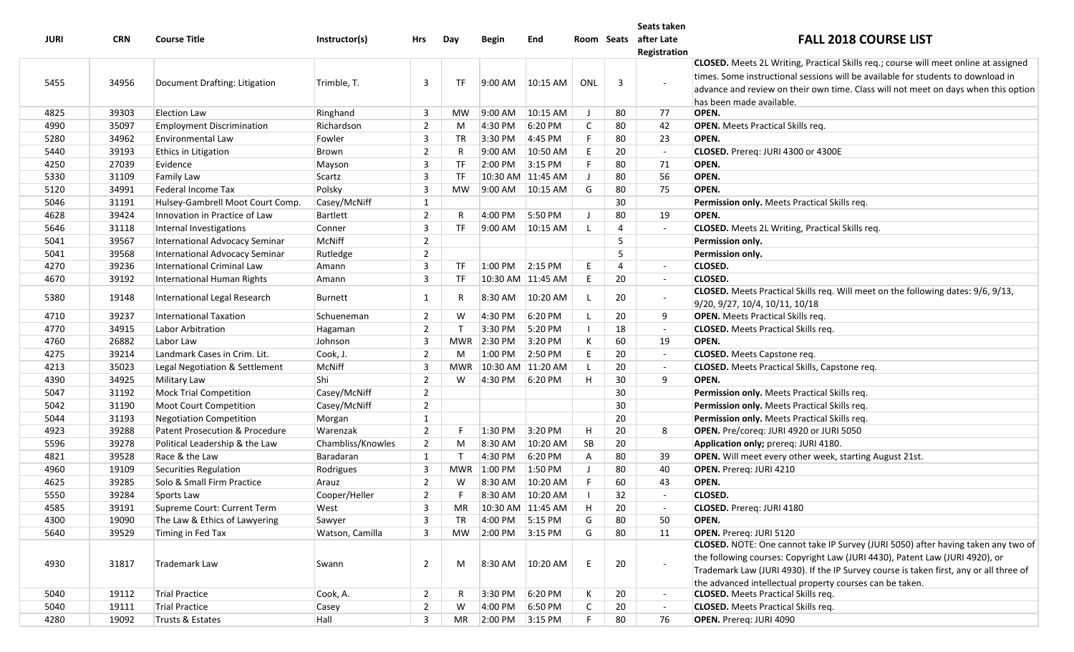|             |            |                                  |                   |                |              |              |                   |     |                | Seats taken                           |                                                                                         |
|-------------|------------|----------------------------------|-------------------|----------------|--------------|--------------|-------------------|-----|----------------|---------------------------------------|-----------------------------------------------------------------------------------------|
| <b>JURI</b> | <b>CRN</b> | <b>Course Title</b>              | Instructor(s)     | Hrs            | Day          | <b>Begin</b> | End               |     |                | Room Seats after Late<br>Registration | <b>FALL 2018 COURSE LIST</b>                                                            |
|             |            |                                  |                   |                |              |              |                   |     |                |                                       | CLOSED. Meets 2L Writing, Practical Skills req.; course will meet online at assigned    |
|             |            |                                  |                   |                |              |              |                   |     |                |                                       | times. Some instructional sessions will be available for students to download in        |
| 5455        | 34956      | Document Drafting: Litigation    | Trimble, T.       | 3              | <b>TF</b>    | 9:00 AM      | 10:15 AM          | ONL | $\overline{3}$ | $\sim$                                | advance and review on their own time. Class will not meet on days when this option      |
|             |            |                                  |                   |                |              |              |                   |     |                |                                       | has been made available.                                                                |
| 4825        | 39303      | Election Law                     | Ringhand          | 3              | <b>MW</b>    | 9:00 AM      | 10:15 AM          | J   | 80             | 77                                    | OPEN.                                                                                   |
| 4990        | 35097      | <b>Employment Discrimination</b> | Richardson        | $\overline{2}$ | M            | 4:30 PM      | 6:20 PM           | C   | 80             | 42                                    | <b>OPEN.</b> Meets Practical Skills req.                                                |
| 5280        | 34962      | <b>Environmental Law</b>         | Fowler            | 3              | TR           | 3:30 PM      | 4:45 PM           | F.  | 80             | 23                                    | OPEN.                                                                                   |
| 5440        | 39193      | <b>Ethics in Litigation</b>      | Brown             | $\overline{2}$ | R            | 9:00 AM      | $10:50$ AM        | E   | 20             | $\sim$                                | CLOSED. Prereq: JURI 4300 or 4300E                                                      |
| 4250        | 27039      | Evidence                         | Mayson            | 3              | TF           | 2:00 PM      | $3:15$ PM         | F.  | 80             | 71                                    | OPEN.                                                                                   |
| 5330        | 31109      | Family Law                       | Scartz            | 3              | <b>TF</b>    |              | 10:30 AM 11:45 AM | J   | 80             | 56                                    | OPEN.                                                                                   |
| 5120        | 34991      | Federal Income Tax               | Polsky            | 3              | MW           | 9:00 AM      | 10:15 AM          | G   | 80             | 75                                    | OPEN.                                                                                   |
| 5046        | 31191      | Hulsey-Gambrell Moot Court Comp. | Casey/McNiff      | 1              |              |              |                   |     | 30             |                                       | Permission only. Meets Practical Skills req.                                            |
| 4628        | 39424      | Innovation in Practice of Law    | Bartlett          | $\overline{2}$ | R.           | 4:00 PM      | 5:50 PM           | J   | 80             | 19                                    | OPEN.                                                                                   |
| 5646        | 31118      | Internal Investigations          | Conner            | 3              | TF           | 9:00 AM      | 10:15 AM          |     | 4              | $\omega$                              | <b>CLOSED.</b> Meets 2L Writing, Practical Skills req.                                  |
| 5041        | 39567      | International Advocacy Seminar   | McNiff            | $\overline{2}$ |              |              |                   |     | 5              |                                       | Permission only.                                                                        |
| 5041        | 39568      | International Advocacy Seminar   | Rutledge          | $\overline{2}$ |              |              |                   |     | 5              |                                       | Permission only.                                                                        |
| 4270        | 39236      | International Criminal Law       | Amann             | 3              | TF           | 1:00 PM      | $2:15$ PM         | E   | 4              | $\sim$                                | <b>CLOSED.</b>                                                                          |
| 4670        | 39192      | International Human Rights       | Amann             | 3              | TF           |              | 10:30 AM 11:45 AM | E   | 20             | $\sim$                                | <b>CLOSED.</b>                                                                          |
| 5380        | 19148      | International Legal Research     | Burnett           | 1              | R            | 8:30 AM      | 10:20 AM          |     | 20             |                                       | <b>CLOSED.</b> Meets Practical Skills req. Will meet on the following dates: 9/6, 9/13, |
|             |            |                                  |                   |                |              |              |                   |     |                |                                       | 9/20, 9/27, 10/4, 10/11, 10/18                                                          |
| 4710        | 39237      | International Taxation           | Schueneman        | $\overline{2}$ | W            | 4:30 PM      | 6:20 PM           |     | 20             | 9                                     | <b>OPEN.</b> Meets Practical Skills req.                                                |
| 4770        | 34915      | Labor Arbitration                | Hagaman           | $\overline{2}$ | $\mathsf{T}$ | 3:30 PM      | 5:20 PM           |     | 18             |                                       | <b>CLOSED.</b> Meets Practical Skills req.                                              |
| 4760        | 26882      | Labor Law                        | Johnson           | 3              | MWR          | 2:30 PM      | 3:20 PM           | К   | 60             | 19                                    | OPEN.                                                                                   |
| 4275        | 39214      | Landmark Cases in Crim. Lit.     | Cook, J.          | $\overline{2}$ | M            | 1:00 PM      | 2:50 PM           | E   | 20             |                                       | <b>CLOSED.</b> Meets Capstone req.                                                      |
| 4213        | 35023      | Legal Negotiation & Settlement   | McNiff            | 3              | <b>MWR</b>   |              | 10:30 AM 11:20 AM |     | 20             |                                       | <b>CLOSED.</b> Meets Practical Skills, Capstone req.                                    |
| 4390        | 34925      | Military Law                     | Shi               | $\overline{2}$ | W            | 4:30 PM      | 6:20 PM           | H   | 30             | 9                                     | OPEN.                                                                                   |
| 5047        | 31192      | <b>Mock Trial Competition</b>    | Casey/McNiff      | $\overline{2}$ |              |              |                   |     | 30             |                                       | Permission only. Meets Practical Skills req.                                            |
| 5042        | 31190      | Moot Court Competition           | Casey/McNiff      | $\overline{2}$ |              |              |                   |     | 30             |                                       | Permission only. Meets Practical Skills req.                                            |
| 5044        | 31193      | Negotiation Competition          | Morgan            | $\mathbf{1}$   |              |              |                   |     | 20             |                                       | Permission only. Meets Practical Skills req.                                            |
| 4923        | 39288      | Patent Prosecution & Procedure   | Warenzak          | $\overline{2}$ | F.           | 1:30 PM      | 3:20 PM           | H   | 20             | 8                                     | OPEN. Pre/coreq: JURI 4920 or JURI 5050                                                 |
| 5596        | 39278      | Political Leadership & the Law   | Chambliss/Knowles | $\overline{2}$ | M            | 8:30 AM      | 10:20 AM          | SB  | 20             |                                       | Application only; prereq: JURI 4180.                                                    |
| 4821        | 39528      | Race & the Law                   | Baradaran         | 1              | $\mathsf{T}$ | 4:30 PM      | 6:20 PM           | Α   | 80             | 39                                    | OPEN. Will meet every other week, starting August 21st.                                 |
| 4960        | 19109      | Securities Regulation            | Rodrigues         | $\overline{3}$ | MWR          | 1:00 PM      | 1:50 PM           |     | 80             | 40                                    | OPEN. Prereq: JURI 4210                                                                 |
| 4625        | 39285      | Solo & Small Firm Practice       | Arauz             | $\overline{2}$ | W            | 8:30 AM      | 10:20 AM          | F   | 60             | 43                                    | OPEN.                                                                                   |
| 5550        | 39284      | Sports Law                       | Cooper/Heller     | $\overline{2}$ | F.           | 8:30 AM      | 10:20 AM          |     | 32             | $\sim$                                | <b>CLOSED.</b>                                                                          |
| 4585        | 39191      | Supreme Court: Current Term      | West              | 3              | MR           |              | 10:30 AM 11:45 AM | H   | 20             |                                       | CLOSED. Prereq: JURI 4180                                                               |
| 4300        | 19090      | The Law & Ethics of Lawyering    | Sawyer            | 3              | <b>TR</b>    | 4:00 PM      | 5:15 PM           | G   | 80             | 50                                    | OPEN.                                                                                   |
| 5640        | 39529      | Timing in Fed Tax                | Watson, Camilla   | 3              | MW           | 2:00 PM      | $3:15$ PM         | G   | 80             | 11                                    | OPEN. Prereg: JURI 5120                                                                 |
|             |            |                                  |                   |                |              |              |                   |     |                |                                       | CLOSED. NOTE: One cannot take IP Survey (JURI 5050) after having taken any two of       |
| 4930        | 31817      | Trademark Law                    |                   | $\overline{2}$ | M            | 8:30 AM      | 10:20 AM          | E   | 20             |                                       | the following courses: Copyright Law (JURI 4430), Patent Law (JURI 4920), or            |
|             |            |                                  | Swann             |                |              |              |                   |     |                |                                       | Trademark Law (JURI 4930). If the IP Survey course is taken first, any or all three of  |
|             |            |                                  |                   |                |              |              |                   |     |                |                                       | the advanced intellectual property courses can be taken.                                |
| 5040        | 19112      | Trial Practice                   | Cook, A.          | $\overline{2}$ | R            | 3:30 PM      | 6:20 PM           | К   | 20             | $\sim$                                | <b>CLOSED.</b> Meets Practical Skills req.                                              |
| 5040        | 19111      | Trial Practice                   | Casey             | $\overline{2}$ | W            | 4:00 PM      | 6:50 PM           | C   | 20             | $\sim$                                | <b>CLOSED.</b> Meets Practical Skills req.                                              |
| 4280        | 19092      | Trusts & Estates                 | Hall              | 3              | MR           | 2:00 PM      | $3:15$ PM         | F.  | 80             | 76                                    | OPEN. Prereq: JURI 4090                                                                 |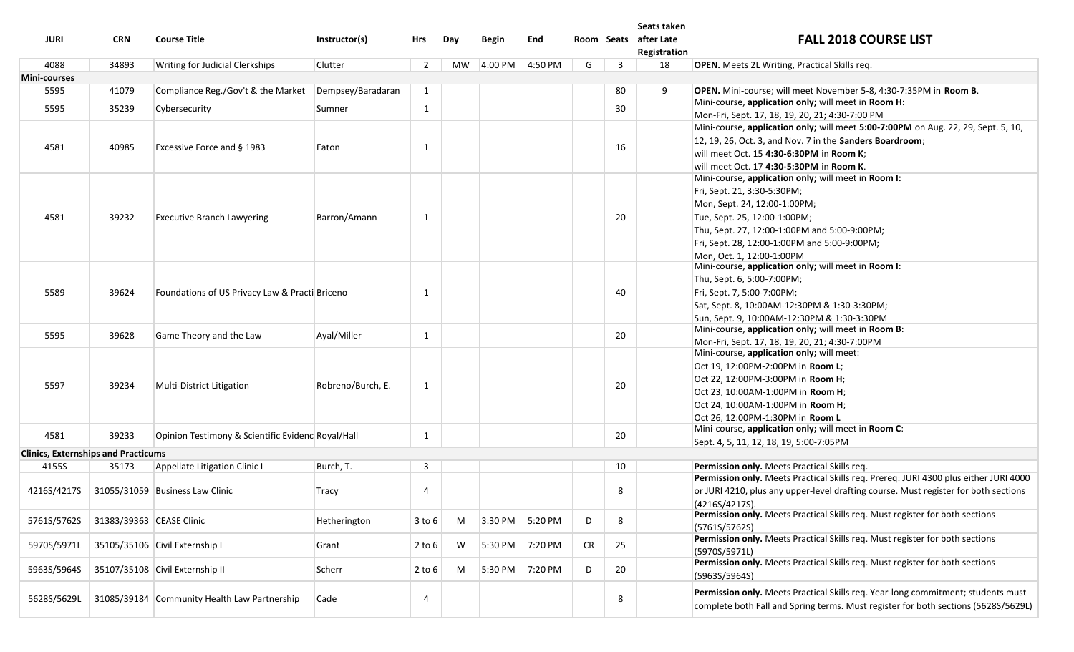|                                            |                          |                                                   |                   |                |     |              |         |           |    | Seats taken                           |                                                                                               |
|--------------------------------------------|--------------------------|---------------------------------------------------|-------------------|----------------|-----|--------------|---------|-----------|----|---------------------------------------|-----------------------------------------------------------------------------------------------|
| <b>JURI</b>                                | <b>CRN</b>               | <b>Course Title</b>                               | Instructor(s)     | Hrs            | Day | <b>Begin</b> | End     |           |    | Room Seats after Late<br>Registration | <b>FALL 2018 COURSE LIST</b>                                                                  |
| 4088                                       | 34893                    | Writing for Judicial Clerkships                   | Clutter           | $\overline{2}$ | MW  | 4:00 PM      | 4:50 PM | G         | 3  | 18                                    | <b>OPEN.</b> Meets 2L Writing, Practical Skills req.                                          |
| Mini-courses                               |                          |                                                   |                   |                |     |              |         |           |    |                                       |                                                                                               |
| 5595                                       | 41079                    | Compliance Reg./Gov't & the Market                | Dempsey/Baradaran | $\mathbf{1}$   |     |              |         |           | 80 | 9                                     | OPEN. Mini-course; will meet November 5-8, 4:30-7:35PM in Room B.                             |
|                                            |                          |                                                   |                   |                |     |              |         |           |    |                                       | Mini-course, application only; will meet in Room H:                                           |
| 5595                                       | 35239                    | Cybersecurity                                     | Sumner            | $\mathbf{1}$   |     |              |         |           | 30 |                                       | Mon-Fri, Sept. 17, 18, 19, 20, 21; 4:30-7:00 PM                                               |
|                                            |                          |                                                   |                   |                |     |              |         |           |    |                                       | Mini-course, application only; will meet 5:00-7:00PM on Aug. 22, 29, Sept. 5, 10,             |
|                                            |                          |                                                   |                   |                |     |              |         |           |    |                                       | 12, 19, 26, Oct. 3, and Nov. 7 in the Sanders Boardroom;                                      |
| 4581                                       | 40985                    | Excessive Force and § 1983                        | Eaton             | 1              |     |              |         |           | 16 |                                       | will meet Oct. 15 4:30-6:30PM in Room K;                                                      |
|                                            |                          |                                                   |                   |                |     |              |         |           |    |                                       | will meet Oct. 17 4:30-5:30PM in Room K.                                                      |
|                                            |                          |                                                   |                   |                |     |              |         |           |    |                                       | Mini-course, application only; will meet in Room I:                                           |
|                                            |                          |                                                   |                   |                |     |              |         |           |    |                                       | Fri, Sept. 21, 3:30-5:30PM;                                                                   |
|                                            |                          |                                                   |                   |                |     |              |         |           |    |                                       | Mon, Sept. 24, 12:00-1:00PM;                                                                  |
| 4581                                       | 39232                    | <b>Executive Branch Lawyering</b>                 | Barron/Amann      | 1              |     |              |         |           | 20 |                                       | Tue, Sept. 25, 12:00-1:00PM;                                                                  |
|                                            |                          |                                                   |                   |                |     |              |         |           |    |                                       | Thu, Sept. 27, 12:00-1:00PM and 5:00-9:00PM;                                                  |
|                                            |                          |                                                   |                   |                |     |              |         |           |    |                                       | Fri, Sept. 28, 12:00-1:00PM and 5:00-9:00PM;                                                  |
|                                            |                          |                                                   |                   |                |     |              |         |           |    |                                       | Mon, Oct. 1, 12:00-1:00PM                                                                     |
|                                            |                          |                                                   |                   |                |     |              |         |           |    |                                       | Mini-course, application only; will meet in Room I:                                           |
|                                            |                          |                                                   |                   |                |     |              |         |           |    |                                       | Thu, Sept. 6, 5:00-7:00PM;                                                                    |
| 5589                                       | 39624                    | Foundations of US Privacy Law & Practi Briceno    |                   | 1              |     |              |         |           | 40 |                                       | Fri, Sept. 7, 5:00-7:00PM;                                                                    |
|                                            |                          |                                                   |                   |                |     |              |         |           |    |                                       | Sat, Sept. 8, 10:00AM-12:30PM & 1:30-3:30PM;                                                  |
|                                            |                          |                                                   |                   |                |     |              |         |           |    |                                       | Sun, Sept. 9, 10:00AM-12:30PM & 1:30-3:30PM                                                   |
| 5595                                       | 39628                    | Game Theory and the Law                           | Ayal/Miller       | 1              |     |              |         |           | 20 |                                       | Mini-course, application only; will meet in Room B:                                           |
|                                            |                          |                                                   |                   |                |     |              |         |           |    |                                       | Mon-Fri, Sept. 17, 18, 19, 20, 21; 4:30-7:00PM                                                |
|                                            |                          |                                                   |                   |                |     |              |         |           |    |                                       | Mini-course, application only; will meet:                                                     |
|                                            | 39234                    | Multi-District Litigation                         | Robreno/Burch, E. | 1              |     |              |         |           |    |                                       | Oct 19, 12:00PM-2:00PM in Room L;                                                             |
| 5597                                       |                          |                                                   |                   |                |     |              |         |           | 20 |                                       | Oct 22, 12:00PM-3:00PM in Room H;                                                             |
|                                            |                          |                                                   |                   |                |     |              |         |           |    |                                       | Oct 23, 10:00AM-1:00PM in Room H;                                                             |
|                                            |                          |                                                   |                   |                |     |              |         |           |    |                                       | Oct 24, 10:00AM-1:00PM in Room H;                                                             |
|                                            |                          |                                                   |                   |                |     |              |         |           |    |                                       | Oct 26, 12:00PM-1:30PM in Room L                                                              |
| 4581                                       | 39233                    | Opinion Testimony & Scientific Evidenc Royal/Hall |                   | 1              |     |              |         |           | 20 |                                       | Mini-course, application only; will meet in Room C:                                           |
|                                            |                          |                                                   |                   |                |     |              |         |           |    |                                       | Sept. 4, 5, 11, 12, 18, 19, 5:00-7:05PM                                                       |
| <b>Clinics, Externships and Practicums</b> |                          |                                                   |                   |                |     |              |         |           |    |                                       |                                                                                               |
| 4155S                                      | 35173                    | Appellate Litigation Clinic I                     | Burch, T.         | 3              |     |              |         |           | 10 |                                       | Permission only. Meets Practical Skills req.                                                  |
|                                            |                          |                                                   |                   |                |     |              |         |           |    |                                       | Permission only. Meets Practical Skills req. Prereq: JURI 4300 plus either JURI 4000          |
| 4216S/4217S                                |                          | 31055/31059 Business Law Clinic                   | Tracy             | $\overline{4}$ |     |              |         |           | 8  |                                       | or JURI 4210, plus any upper-level drafting course. Must register for both sections           |
|                                            |                          |                                                   |                   |                |     |              |         |           |    |                                       | (4216S/4217S)<br>Permission only. Meets Practical Skills req. Must register for both sections |
| 5761S/5762S                                | 31383/39363 CEASE Clinic |                                                   | Hetherington      | $3$ to $6$     | M   | 3:30 PM      | 5:20 PM | D         | 8  |                                       | (5761S/5762S)                                                                                 |
|                                            |                          |                                                   |                   |                |     |              |         |           |    |                                       | Permission only. Meets Practical Skills req. Must register for both sections                  |
| 5970S/5971L                                |                          | 35105/35106 Civil Externship I                    | Grant             | $2$ to 6       | W   | 5:30 PM      | 7:20 PM | <b>CR</b> | 25 |                                       | (5970S/5971L)                                                                                 |
|                                            |                          |                                                   |                   |                |     |              |         |           |    |                                       | Permission only. Meets Practical Skills req. Must register for both sections                  |
| 5963S/5964S                                |                          | 35107/35108 Civil Externship II                   | Scherr            | $2$ to $6$     | M   | 5:30 PM      | 7:20 PM | D         | 20 |                                       | (5963S/5964S)                                                                                 |
|                                            |                          |                                                   |                   |                |     |              |         |           |    |                                       |                                                                                               |
| 5628S/5629L                                |                          | 31085/39184 Community Health Law Partnership      | Cade              | -4             |     |              |         |           | 8  |                                       | Permission only. Meets Practical Skills req. Year-long commitment; students must              |
|                                            |                          |                                                   |                   |                |     |              |         |           |    |                                       | complete both Fall and Spring terms. Must register for both sections (5628S/5629L)            |